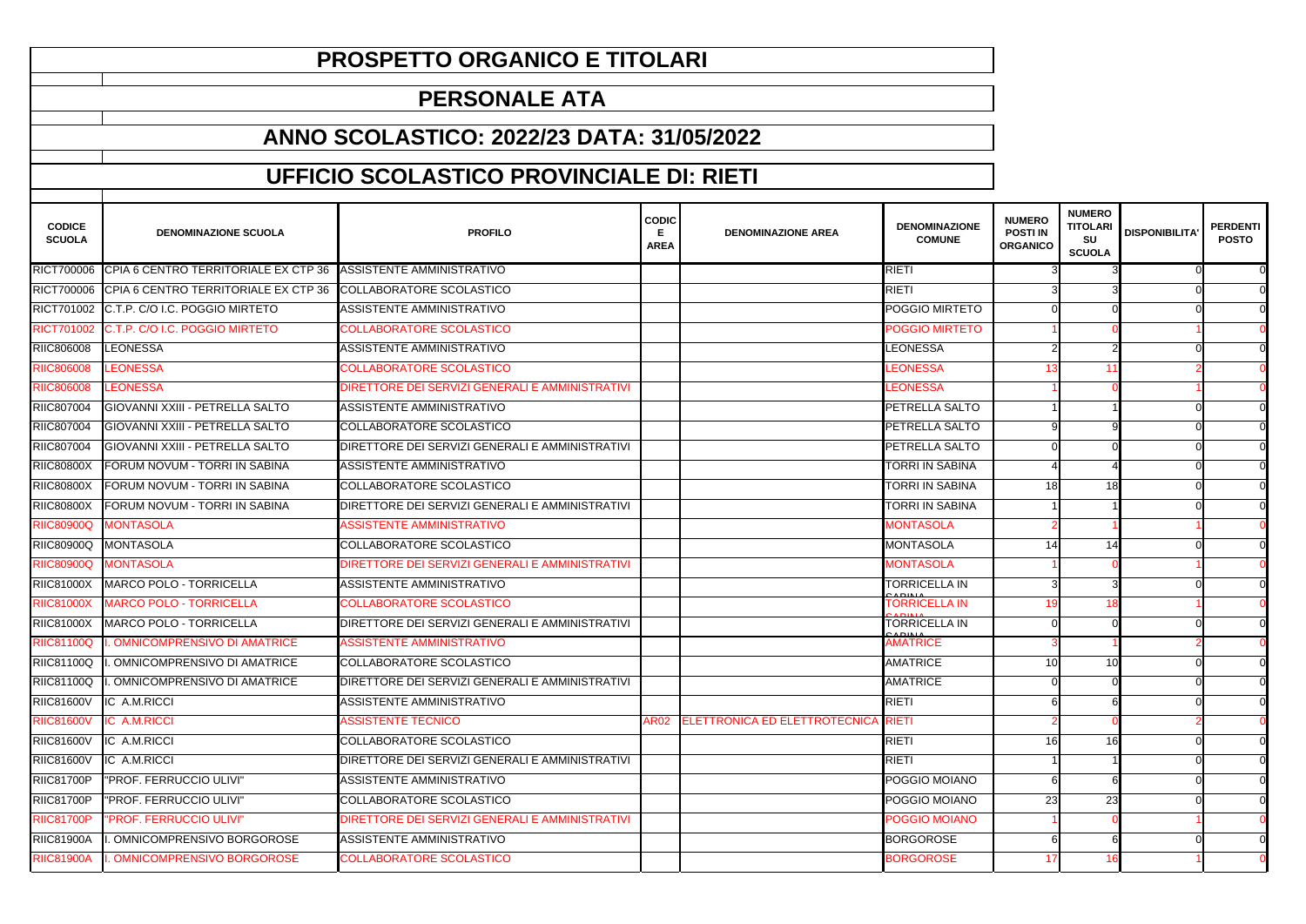| <b>CODICE</b><br><b>SCUOLA</b> | <b>DENOMINAZIONE SCUOLA</b>                                               | <b>PROFILO</b>                                  | <b>CODIC</b><br>Е<br><b>AREA</b> | <b>DENOMINAZIONE AREA</b>          | <b>DENOMINAZIONE</b><br><b>COMUNE</b>                | <b>NUMERO</b><br><b>POSTI IN</b><br><b>ORGANICO</b> | <b>NUMERO</b><br><b>TITOLARI</b><br><b>SU</b><br><b>SCUOLA</b> | <b>DISPONIBILITA'</b> | <b>PERDENTI</b><br><b>POSTO</b> |
|--------------------------------|---------------------------------------------------------------------------|-------------------------------------------------|----------------------------------|------------------------------------|------------------------------------------------------|-----------------------------------------------------|----------------------------------------------------------------|-----------------------|---------------------------------|
|                                | RICT700006 CPIA 6 CENTRO TERRITORIALE EX CTP 36 ASSISTENTE AMMINISTRATIVO |                                                 |                                  |                                    | <b>RIETI</b>                                         |                                                     |                                                                |                       |                                 |
| RICT700006                     | CPIA 6 CENTRO TERRITORIALE EX CTP 36                                      | COLLABORATORE SCOLASTICO                        |                                  |                                    | <b>RIETI</b>                                         |                                                     |                                                                |                       |                                 |
|                                | RICT701002 C.T.P. C/O I.C. POGGIO MIRTETO                                 | ASSISTENTE AMMINISTRATIVO                       |                                  |                                    | POGGIO MIRTETO                                       |                                                     |                                                                |                       |                                 |
|                                | RICT701002 C.T.P. C/O I.C. POGGIO MIRTETO                                 | <b>COLLABORATORE SCOLASTICO</b>                 |                                  |                                    | <b>POGGIO MIRTETO</b>                                |                                                     |                                                                |                       |                                 |
| RIIC806008                     | <b>LEONESSA</b>                                                           | ASSISTENTE AMMINISTRATIVO                       |                                  |                                    | LEONESSA                                             |                                                     |                                                                |                       |                                 |
| <b>RIIC806008</b>              | LEONESSA                                                                  | COLLABORATORE SCOLASTICO                        |                                  |                                    | LEONESSA                                             |                                                     |                                                                |                       |                                 |
| <b>RIIC806008</b>              | <b>LEONESSA</b>                                                           | DIRETTORE DEI SERVIZI GENERALI E AMMINISTRATIVI |                                  |                                    | <b>LEONESSA</b>                                      |                                                     |                                                                |                       |                                 |
| RIIC807004                     | GIOVANNI XXIII - PETRELLA SALTO                                           | ASSISTENTE AMMINISTRATIVO                       |                                  |                                    | PETRELLA SALTO                                       |                                                     |                                                                |                       |                                 |
| RIIC807004                     | <b>GIOVANNI XXIII - PETRELLA SALTO</b>                                    | <b>COLLABORATORE SCOLASTICO</b>                 |                                  |                                    | PETRELLA SALTO                                       |                                                     |                                                                |                       |                                 |
| RIIC807004                     | GIOVANNI XXIII - PETRELLA SALTO                                           | DIRETTORE DEI SERVIZI GENERALI E AMMINISTRATIVI |                                  |                                    | PETRELLA SALTO                                       |                                                     |                                                                |                       |                                 |
| <b>RIIC80800X</b>              | FORUM NOVUM - TORRI IN SABINA                                             | ASSISTENTE AMMINISTRATIVO                       |                                  |                                    | <b>TORRI IN SABINA</b>                               |                                                     |                                                                |                       |                                 |
| <b>RIIC80800X</b>              | FORUM NOVUM - TORRI IN SABINA                                             | <b>COLLABORATORE SCOLASTICO</b>                 |                                  |                                    | <b>TORRI IN SABINA</b>                               | 18                                                  | 18                                                             |                       |                                 |
| <b>RIIC80800X</b>              | FORUM NOVUM - TORRI IN SABINA                                             | DIRETTORE DEI SERVIZI GENERALI E AMMINISTRATIVI |                                  |                                    | <b>TORRI IN SABINA</b>                               |                                                     |                                                                |                       |                                 |
| <b>RIIC80900Q</b>              | <b>MONTASOLA</b>                                                          | <b>ASSISTENTE AMMINISTRATIVO</b>                |                                  |                                    | <b>MONTASOLA</b>                                     |                                                     |                                                                |                       |                                 |
| <b>RIIC80900Q</b>              | MONTASOLA                                                                 | <b>COLLABORATORE SCOLASTICO</b>                 |                                  |                                    | <b>MONTASOLA</b>                                     | 14                                                  | 14                                                             |                       |                                 |
| <b>RIIC80900Q</b>              | <b>MONTASOLA</b>                                                          | DIRETTORE DEI SERVIZI GENERALI E AMMINISTRATIVI |                                  |                                    | <b>MONTASOLA</b>                                     |                                                     |                                                                |                       |                                 |
| <b>RIIC81000X</b>              | MARCO POLO - TORRICELLA                                                   | ASSISTENTE AMMINISTRATIVO                       |                                  |                                    | <b>TORRICELLA IN</b>                                 |                                                     |                                                                |                       |                                 |
| <b>RIIC81000X</b>              | <b>MARCO POLO - TORRICELLA</b>                                            | <b>COLLABORATORE SCOLASTICO</b>                 |                                  |                                    | $A DIAIA$<br><b>TORRICELLA IN</b><br>$\lambda$ DINIA |                                                     |                                                                |                       |                                 |
| <b>RIIC81000X</b>              | MARCO POLO - TORRICELLA                                                   | DIRETTORE DEI SERVIZI GENERALI E AMMINISTRATIVI |                                  |                                    | <b>TORRICELLA IN</b><br>2ADIL                        |                                                     |                                                                |                       |                                 |
| <b>RIIC81100Q</b>              | <b>OMNICOMPRENSIVO DI AMATRICE</b>                                        | <b>ASSISTENTE AMMINISTRATIVO</b>                |                                  |                                    | <b>AMATRICE</b>                                      |                                                     |                                                                |                       |                                 |
| <b>RIIC81100Q</b>              | OMNICOMPRENSIVO DI AMATRICE                                               | <b>COLLABORATORE SCOLASTICO</b>                 |                                  |                                    | <b>AMATRICE</b>                                      | 10                                                  | -10                                                            |                       |                                 |
| <b>RIIC81100Q</b>              | OMNICOMPRENSIVO DI AMATRICE                                               | DIRETTORE DEI SERVIZI GENERALI E AMMINISTRATIVI |                                  |                                    | <b>AMATRICE</b>                                      |                                                     |                                                                |                       |                                 |
| <b>RIIC81600V</b>              | IC A.M.RICCI                                                              | ASSISTENTE AMMINISTRATIVO                       |                                  |                                    | <b>RIETI</b>                                         |                                                     |                                                                |                       | $\overline{0}$                  |
| <b>RIIC81600V</b>              | <b>IC A.M.RICCI</b>                                                       | <b>ASSISTENTE TECNICO</b>                       |                                  | AR02 ELETTRONICA ED ELETTROTECNICA | <b>RIETI</b>                                         |                                                     |                                                                |                       |                                 |
| <b>RIIC81600V</b>              | IC A.M.RICCI                                                              | COLLABORATORE SCOLASTICO                        |                                  |                                    | <b>RIETI</b>                                         | 16                                                  | <b>16</b>                                                      |                       |                                 |
| <b>RIIC81600V</b>              | IC A.M.RICCI                                                              | DIRETTORE DEI SERVIZI GENERALI E AMMINISTRATIVI |                                  |                                    | <b>RIETI</b>                                         |                                                     |                                                                |                       |                                 |
| <b>RIIC81700P</b>              | "PROF. FERRUCCIO ULIVI"                                                   | ASSISTENTE AMMINISTRATIVO                       |                                  |                                    | POGGIO MOIANO                                        |                                                     |                                                                |                       |                                 |
| <b>RIIC81700P</b>              | "PROF. FERRUCCIO ULIVI"                                                   | <b>COLLABORATORE SCOLASTICO</b>                 |                                  |                                    | POGGIO MOIANO                                        | 23                                                  | 23                                                             |                       |                                 |
| <b>RIIC81700P</b>              | "PROF. FERRUCCIO ULIVI"                                                   | DIRETTORE DEI SERVIZI GENERALI E AMMINISTRATIVI |                                  |                                    | POGGIO MOIANO                                        |                                                     |                                                                |                       |                                 |
| <b>RIIC81900A</b>              | . OMNICOMPRENSIVO BORGOROSE                                               | ASSISTENTE AMMINISTRATIVO                       |                                  |                                    | <b>BORGOROSE</b>                                     |                                                     |                                                                |                       |                                 |
| <b>RIIC81900A</b>              | <b>OMNICOMPRENSIVO BORGOROSE</b>                                          | <b>COLLABORATORE SCOLASTICO</b>                 |                                  |                                    | <b>BORGOROSE</b>                                     |                                                     |                                                                |                       |                                 |

## **PROSPETTO ORGANICO E TITOLARI**

## **PERSONALE ATA**

## **ANNO SCOLASTICO: 2022/23 DATA: 31/05/2022**

## **UFFICIO SCOLASTICO PROVINCIALE DI: RIETI**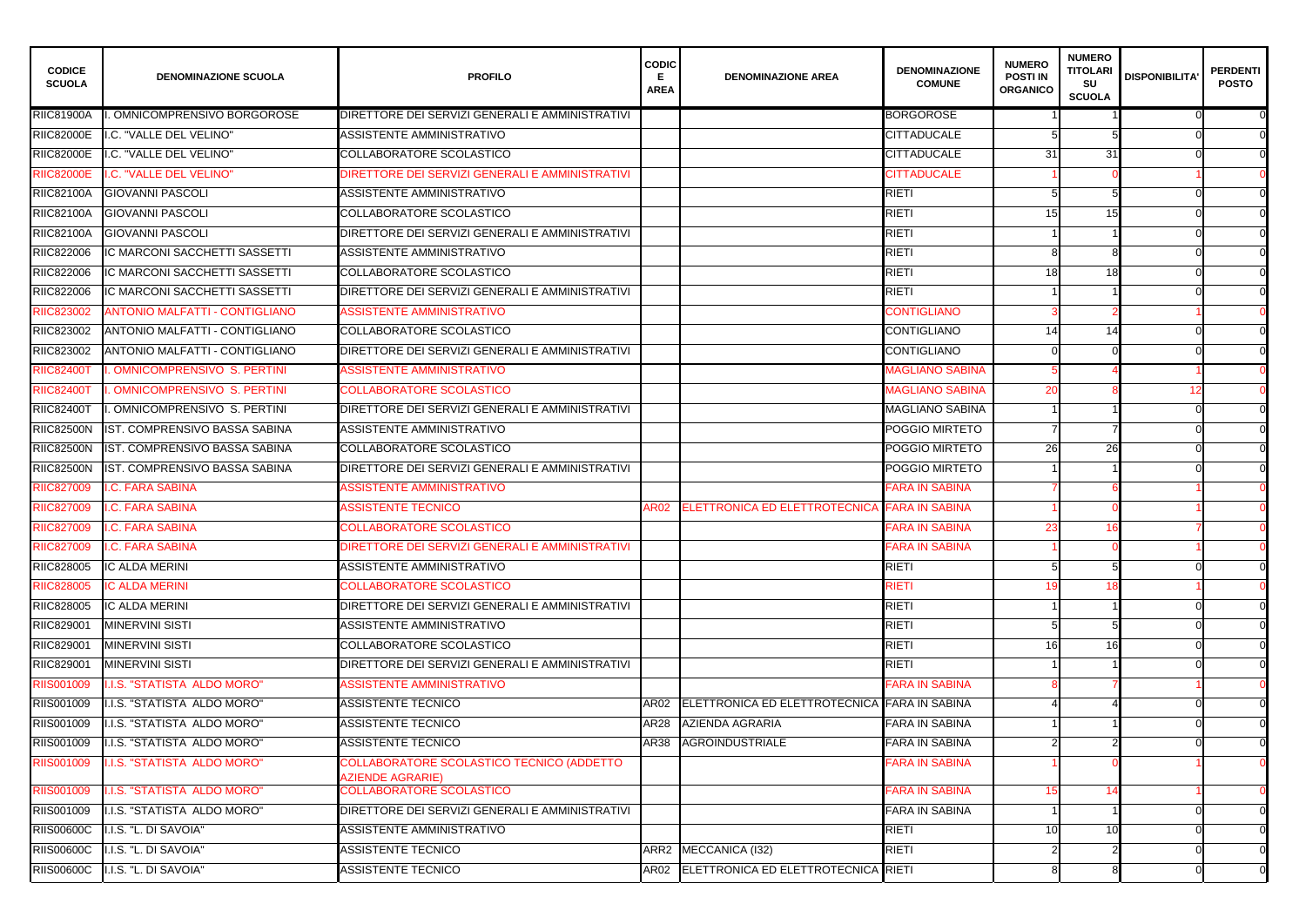| <b>CODICE</b><br><b>SCUOLA</b> | <b>DENOMINAZIONE SCUOLA</b>           | <b>PROFILO</b>                                                       | <b>CODIC</b><br>Е.<br><b>AREA</b> | <b>DENOMINAZIONE AREA</b>                    | <b>DENOMINAZIONE</b><br><b>COMUNE</b> | <b>NUMERO</b><br><b>POSTI IN</b><br><b>ORGANICO</b> | <b>NUMERO</b><br><b>TITOLARI</b><br><b>SU</b><br><b>SCUOLA</b> | <b>DISPONIBILITA'</b> | <b>PERDENTI</b><br><b>POSTO</b> |
|--------------------------------|---------------------------------------|----------------------------------------------------------------------|-----------------------------------|----------------------------------------------|---------------------------------------|-----------------------------------------------------|----------------------------------------------------------------|-----------------------|---------------------------------|
| <b>RIIC81900A</b>              | OMNICOMPRENSIVO BORGOROSE             | DIRETTORE DEI SERVIZI GENERALI E AMMINISTRATIVI                      |                                   |                                              | <b>BORGOROSE</b>                      |                                                     |                                                                |                       | $\Omega$                        |
| <b>RIIC82000E</b>              | I.C. "VALLE DEL VELINO"               | ASSISTENTE AMMINISTRATIVO                                            |                                   |                                              | <b>CITTADUCALE</b>                    |                                                     |                                                                |                       |                                 |
| <b>RIIC82000E</b>              | I.C. "VALLE DEL VELINO"               | COLLABORATORE SCOLASTICO                                             |                                   |                                              | <b>CITTADUCALE</b>                    | 31                                                  | 31                                                             |                       | $\Omega$                        |
| <b>RIIC82000E</b>              | I.C. "VALLE DEL VELINO"               | DIRETTORE DEI SERVIZI GENERALI E AMMINISTRATIVI                      |                                   |                                              | <b>CITTADUCALE</b>                    |                                                     |                                                                |                       |                                 |
| <b>RIIC82100A</b>              | <b>GIOVANNI PASCOLI</b>               | ASSISTENTE AMMINISTRATIVO                                            |                                   |                                              | <b>RIETI</b>                          |                                                     |                                                                |                       | $\Omega$                        |
| <b>RIIC82100A</b>              | <b>GIOVANNI PASCOLI</b>               | COLLABORATORE SCOLASTICO                                             |                                   |                                              | <b>RIETI</b>                          | 15                                                  | 15                                                             |                       |                                 |
| <b>RIIC82100A</b>              | <b>GIOVANNI PASCOLI</b>               | DIRETTORE DEI SERVIZI GENERALI E AMMINISTRATIVI                      |                                   |                                              | <b>RIETI</b>                          |                                                     |                                                                |                       | $\Omega$                        |
| RIIC822006                     | IC MARCONI SACCHETTI SASSETTI         | ASSISTENTE AMMINISTRATIVO                                            |                                   |                                              | <b>RIETI</b>                          |                                                     |                                                                |                       | $\Omega$                        |
| RIIC822006                     | IC MARCONI SACCHETTI SASSETTI         | <b>COLLABORATORE SCOLASTICO</b>                                      |                                   |                                              | <b>RIETI</b>                          | 18                                                  | 18                                                             |                       | $\overline{0}$                  |
| RIIC822006                     | IC MARCONI SACCHETTI SASSETTI         | DIRETTORE DEI SERVIZI GENERALI E AMMINISTRATIVI                      |                                   |                                              | <b>RIETI</b>                          |                                                     |                                                                |                       | $\Omega$                        |
| RIIC823002                     | <b>ANTONIO MALFATTI - CONTIGLIANO</b> | <b>ASSISTENTE AMMINISTRATIVO</b>                                     |                                   |                                              | <b>CONTIGLIANO</b>                    |                                                     |                                                                |                       |                                 |
| RIIC823002                     | ANTONIO MALFATTI - CONTIGLIANO        | COLLABORATORE SCOLASTICO                                             |                                   |                                              | <b>CONTIGLIANO</b>                    | 14                                                  | 14                                                             |                       | $\Omega$                        |
| RIIC823002                     | ANTONIO MALFATTI - CONTIGLIANO        | DIRETTORE DEI SERVIZI GENERALI E AMMINISTRATIVI                      |                                   |                                              | <b>CONTIGLIANO</b>                    |                                                     |                                                                |                       | $\Omega$                        |
| <b>RIIC82400T</b>              | <b>OMNICOMPRENSIVO S. PERTINI</b>     | <b>ASSISTENTE AMMINISTRATIVO</b>                                     |                                   |                                              | <b>MAGLIANO SABINA</b>                |                                                     |                                                                |                       |                                 |
| <b>RIIC82400T</b>              | <b>OMNICOMPRENSIVO S. PERTINI</b>     | <b>COLLABORATORE SCOLASTICO</b>                                      |                                   |                                              | <b>MAGLIANO SABINA</b>                | 20                                                  |                                                                |                       |                                 |
| <b>RIIC82400T</b>              | OMNICOMPRENSIVO S. PERTINI            | DIRETTORE DEI SERVIZI GENERALI E AMMINISTRATIVI                      |                                   |                                              | <b>MAGLIANO SABINA</b>                |                                                     |                                                                |                       | $\Omega$                        |
| <b>RIIC82500N</b>              | IST. COMPRENSIVO BASSA SABINA         | ASSISTENTE AMMINISTRATIVO                                            |                                   |                                              | POGGIO MIRTETO                        |                                                     |                                                                |                       | $\overline{0}$                  |
| <b>RIIC82500N</b>              | IST. COMPRENSIVO BASSA SABINA         | <b>COLLABORATORE SCOLASTICO</b>                                      |                                   |                                              | POGGIO MIRTETO                        | 26                                                  | 26                                                             |                       | $\overline{0}$                  |
| <b>RIIC82500N</b>              | IST. COMPRENSIVO BASSA SABINA         | DIRETTORE DEI SERVIZI GENERALI E AMMINISTRATIVI                      |                                   |                                              | POGGIO MIRTETO                        |                                                     |                                                                |                       | $\overline{0}$                  |
| RIIC827009                     | <b>I.C. FARA SABINA</b>               | <b>ASSISTENTE AMMINISTRATIVO</b>                                     |                                   |                                              | <b>FARA IN SABINA</b>                 |                                                     |                                                                |                       |                                 |
| RIIC827009                     | I.C. FARA SABINA                      | <b>ASSISTENTE TECNICO</b>                                            | AR02                              | <b>ELETTRONICA ED ELETTROTECNICA</b>         | <b>FARA IN SABINA</b>                 |                                                     |                                                                |                       |                                 |
| <b>RIIC827009</b>              | <b>I.C. FARA SABINA</b>               | COLLABORATORE SCOLASTICO                                             |                                   |                                              | <b>FARA IN SABINA</b>                 | 23                                                  |                                                                |                       |                                 |
| <b>RIIC827009</b>              | <b>I.C. FARA SABINA</b>               | DIRETTORE DEI SERVIZI GENERALI E AMMINISTRATIVI                      |                                   |                                              | <b>FARA IN SABINA</b>                 |                                                     |                                                                |                       | $\Omega$                        |
| RIIC828005                     | <b>IC ALDA MERINI</b>                 | ASSISTENTE AMMINISTRATIVO                                            |                                   |                                              | <b>RIETI</b>                          |                                                     |                                                                |                       | $\Omega$                        |
| <b>RIIC828005</b>              | <b>IC ALDA MERINI</b>                 | COLLABORATORE SCOLASTICO                                             |                                   |                                              | <b>RIETI</b>                          |                                                     |                                                                |                       |                                 |
| RIIC828005                     | <b>IC ALDA MERINI</b>                 | DIRETTORE DEI SERVIZI GENERALI E AMMINISTRATIVI                      |                                   |                                              | <b>RIETI</b>                          |                                                     |                                                                |                       | $\overline{0}$                  |
| RIIC829001                     | <b>MINERVINI SISTI</b>                | ASSISTENTE AMMINISTRATIVO                                            |                                   |                                              | <b>RIETI</b>                          |                                                     |                                                                |                       | $\overline{0}$                  |
| RIIC829001                     | <b>MINERVINI SISTI</b>                | COLLABORATORE SCOLASTICO                                             |                                   |                                              | <b>RIETI</b>                          | 16                                                  | 16                                                             |                       | $\Omega$                        |
| RIIC829001                     | <b>MINERVINI SISTI</b>                | DIRETTORE DEI SERVIZI GENERALI E AMMINISTRATIVI                      |                                   |                                              | <b>RIETI</b>                          |                                                     |                                                                |                       | $\overline{0}$                  |
| <b>RIIS001009</b>              | I.I.S. "STATISTA ALDO MORO"           | <b>ASSISTENTE AMMINISTRATIVO</b>                                     |                                   |                                              | <b>FARA IN SABINA</b>                 |                                                     |                                                                |                       |                                 |
| RIIS001009                     | I.I.S. "STATISTA ALDO MORO"           | <b>ASSISTENTE TECNICO</b>                                            | AR02                              | ELETTRONICA ED ELETTROTECNICA FARA IN SABINA |                                       |                                                     |                                                                |                       | $\overline{0}$                  |
| RIIS001009                     | I.I.S. "STATISTA ALDO MORO"           | <b>ASSISTENTE TECNICO</b>                                            | <b>AR28</b>                       | <b>AZIENDA AGRARIA</b>                       | <b>FARA IN SABINA</b>                 |                                                     |                                                                |                       | $\overline{0}$                  |
| RIIS001009                     | I.I.S. "STATISTA ALDO MORO"           | <b>ASSISTENTE TECNICO</b>                                            | AR38                              | AGROINDUSTRIALE                              | <b>FARA IN SABINA</b>                 |                                                     |                                                                |                       | $\overline{0}$                  |
| <b>RIIS001009</b>              | I.I.S. "STATISTA ALDO MORO"           | COLLABORATORE SCOLASTICO TECNICO (ADDETTO<br><b>AZIENDE AGRARIE)</b> |                                   |                                              | <b>FARA IN SABINA</b>                 |                                                     |                                                                |                       |                                 |
| <b>RIIS001009</b>              | I.I.S. "STATISTA ALDO MORO"           | COLLABORATORE SCOLASTICO                                             |                                   |                                              | <b>FARA IN SABINA</b>                 |                                                     |                                                                |                       |                                 |
| RIIS001009                     | I.I.S. "STATISTA ALDO MORO"           | DIRETTORE DEI SERVIZI GENERALI E AMMINISTRATIVI                      |                                   |                                              | <b>FARA IN SABINA</b>                 |                                                     |                                                                |                       | $\overline{0}$                  |
| <b>RIIS00600C</b>              | I.I.S. "L. DI SAVOIA"                 | ASSISTENTE AMMINISTRATIVO                                            |                                   |                                              | <b>RIETI</b>                          | 10                                                  | 10                                                             |                       | $\overline{0}$                  |
| <b>RIIS00600C</b>              | I.I.S. "L. DI SAVOIA"                 | <b>ASSISTENTE TECNICO</b>                                            |                                   | ARR2 MECCANICA (I32)                         | <b>RIETI</b>                          |                                                     |                                                                |                       | $\overline{0}$                  |
| <b>RIIS00600C</b>              | I.I.S. "L. DI SAVOIA"                 | <b>ASSISTENTE TECNICO</b>                                            |                                   | AR02 ELETTRONICA ED ELETTROTECNICA RIETI     |                                       |                                                     |                                                                |                       | $\overline{0}$                  |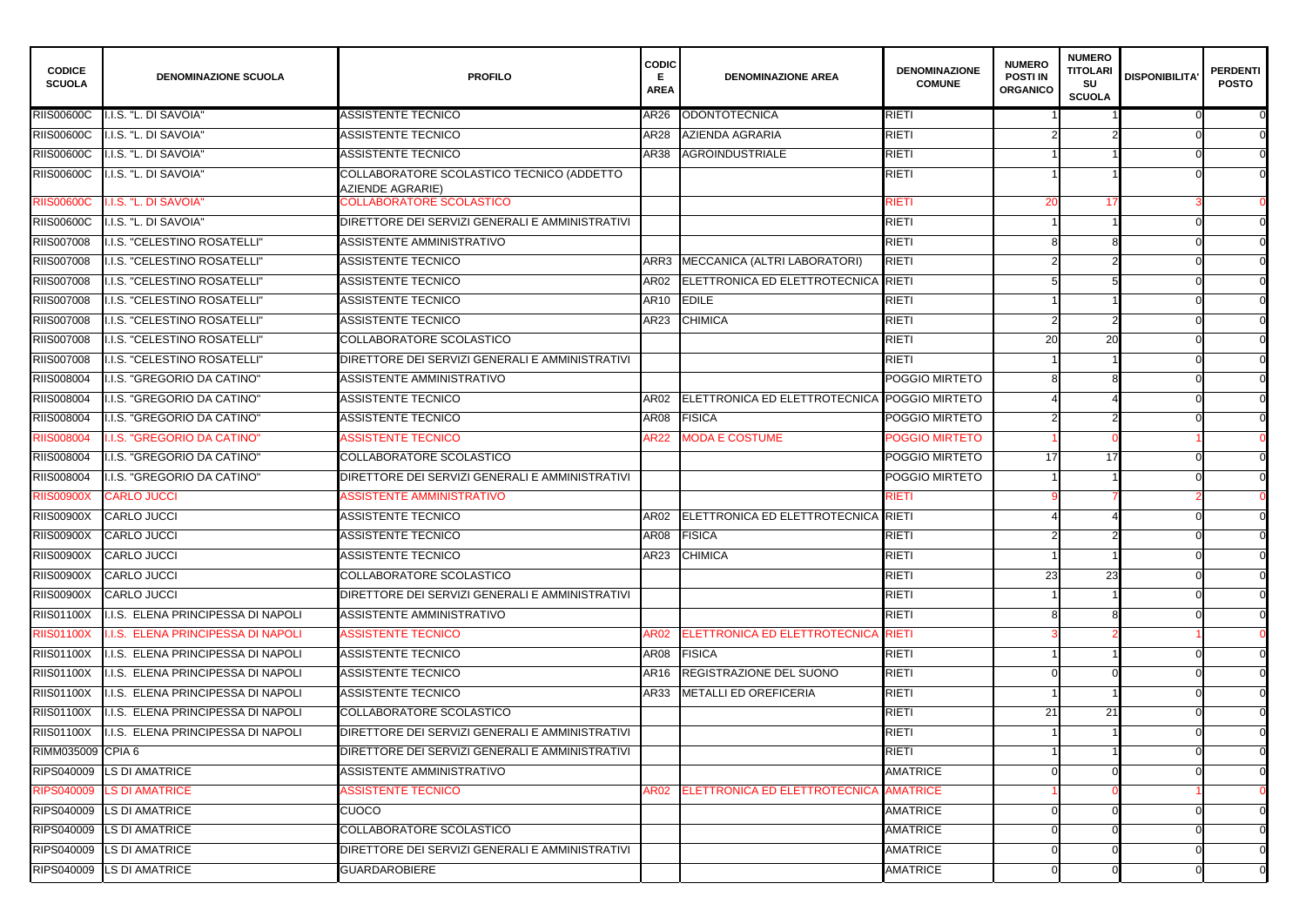| <b>CODICE</b><br><b>SCUOLA</b> | <b>DENOMINAZIONE SCUOLA</b>               | <b>PROFILO</b>                                                | <b>CODIC</b><br><b>AREA</b> | <b>DENOMINAZIONE AREA</b>                | <b>DENOMINAZIONE</b><br><b>COMUNE</b> | <b>NUMERO</b><br><b>POSTI IN</b><br><b>ORGANICO</b> | <b>NUMERO</b><br><b>TITOLARI</b><br><b>SU</b><br><b>SCUOLA</b> | <b>DISPONIBILITA'</b> | PERDENTI  <br><b>POSTO</b> |
|--------------------------------|-------------------------------------------|---------------------------------------------------------------|-----------------------------|------------------------------------------|---------------------------------------|-----------------------------------------------------|----------------------------------------------------------------|-----------------------|----------------------------|
| <b>RIIS00600C</b>              | I.I.S. "L. DI SAVOIA"                     | ASSISTENTE TECNICO                                            | AR26                        | ODONTOTECNICA                            | <b>RIETI</b>                          |                                                     |                                                                |                       |                            |
| <b>RIIS00600C</b>              | I.I.S. "L. DI SAVOIA"                     | ASSISTENTE TECNICO                                            | <b>AR28</b>                 | <b>AZIENDA AGRARIA</b>                   | <b>RIETI</b>                          |                                                     |                                                                |                       |                            |
| <b>RIIS00600C</b>              | I.I.S. "L. DI SAVOIA"                     | ASSISTENTE TECNICO                                            | <b>AR38</b>                 | <b>AGROINDUSTRIALE</b>                   | <b>RIETI</b>                          |                                                     |                                                                |                       | $\Omega$                   |
| <b>RIIS00600C</b>              | I.I.S. "L. DI SAVOIA"                     | COLLABORATORE SCOLASTICO TECNICO (ADDETTO<br>AZIENDE AGRARIE) |                             |                                          | <b>RIETI</b>                          |                                                     |                                                                |                       |                            |
| <b>RIIS00600C</b>              | I.I.S. "L. DI SAVOIA"                     | COLLABORATORE SCOLASTICO                                      |                             |                                          | RIETI                                 | 20                                                  |                                                                |                       |                            |
| <b>RIIS00600C</b>              | .I.S. "L. DI SAVOIA"                      | DIRETTORE DEI SERVIZI GENERALI E AMMINISTRATIVI               |                             |                                          | <b>RIETI</b>                          |                                                     |                                                                |                       | $\Omega$                   |
| RIIS007008                     | I.I.S. "CELESTINO ROSATELLI"              | ASSISTENTE AMMINISTRATIVO                                     |                             |                                          | <b>RIETI</b>                          |                                                     |                                                                |                       |                            |
| RIIS007008                     | .I.S. "CELESTINO ROSATELLI"               | <b>ASSISTENTE TECNICO</b>                                     | ARR3                        | MECCANICA (ALTRI LABORATORI)             | <b>RIETI</b>                          |                                                     |                                                                |                       | $\Omega$                   |
| <b>RIIS007008</b>              | I.I.S. "CELESTINO ROSATELLI"              | <b>ASSISTENTE TECNICO</b>                                     | AR02                        | ELETTRONICA ED ELETTROTECNICA            | RIETI                                 |                                                     |                                                                |                       |                            |
| <b>RIIS007008</b>              | .I.S. "CELESTINO ROSATELLI"               | <b>ASSISTENTE TECNICO</b>                                     | AR10                        | <b>EDILE</b>                             | <b>RIETI</b>                          |                                                     |                                                                |                       | $\Omega$                   |
| <b>RIIS007008</b>              | .I.S. "CELESTINO ROSATELLI"               | <b>ASSISTENTE TECNICO</b>                                     | AR23                        | <b>CHIMICA</b>                           | <b>RIETI</b>                          |                                                     |                                                                |                       |                            |
| RIIS007008                     | .I.S. "CELESTINO ROSATELLI"               | COLLABORATORE SCOLASTICO                                      |                             |                                          | <b>RIETI</b>                          | 20                                                  | 20                                                             |                       | $\Omega$                   |
| RIIS007008                     | I.I.S. "CELESTINO ROSATELLI"              | DIRETTORE DEI SERVIZI GENERALI E AMMINISTRATIVI               |                             |                                          | <b>RIETI</b>                          |                                                     |                                                                |                       |                            |
| RIIS008004                     | I.I.S. "GREGORIO DA CATINO"               | ASSISTENTE AMMINISTRATIVO                                     |                             |                                          | POGGIO MIRTETO                        |                                                     |                                                                |                       | $\Omega$                   |
| RIIS008004                     | I.I.S. "GREGORIO DA CATINO"               | <b>ASSISTENTE TECNICO</b>                                     | AR02                        | ELETTRONICA ED ELETTROTECNICA            | POGGIO MIRTETO                        |                                                     |                                                                |                       |                            |
| RIIS008004                     | .I.S. "GREGORIO DA CATINO"                | <b>ASSISTENTE TECNICO</b>                                     | <b>AR08</b>                 | FISICA                                   | POGGIO MIRTETO                        |                                                     |                                                                |                       |                            |
| <b>RIIS008004</b>              | .I.S. "GREGORIO DA CATINO"                | <b>ASSISTENTE TECNICO</b>                                     | <b>AR22</b>                 | <b>MODA E COSTUME</b>                    | POGGIO MIRTETO                        |                                                     |                                                                |                       |                            |
| RIIS008004                     | I.I.S. "GREGORIO DA CATINO"               | <b>COLLABORATORE SCOLASTICO</b>                               |                             |                                          | POGGIO MIRTETO                        | 17                                                  | 17                                                             |                       |                            |
| RIIS008004                     | I.I.S. "GREGORIO DA CATINO"               | DIRETTORE DEI SERVIZI GENERALI E AMMINISTRATIVI               |                             |                                          | POGGIO MIRTETO                        |                                                     |                                                                |                       |                            |
| <b>RIIS00900X</b>              | <b>CARLO JUCCI</b>                        | <b>ASSISTENTE AMMINISTRATIVO</b>                              |                             |                                          | RIETI                                 |                                                     |                                                                |                       |                            |
| <b>RIIS00900X</b>              | <b>CARLO JUCCI</b>                        | <b>ASSISTENTE TECNICO</b>                                     |                             | AR02 ELETTRONICA ED ELETTROTECNICA RIETI |                                       |                                                     |                                                                |                       |                            |
|                                | RIIS00900X CARLO JUCCI                    | <b>ASSISTENTE TECNICO</b>                                     |                             | AR08 FISICA                              | <b>RIETI</b>                          |                                                     |                                                                |                       |                            |
| <b>RIIS00900X</b>              | CARLO JUCCI                               | <b>ASSISTENTE TECNICO</b>                                     |                             | AR23 CHIMICA                             | <b>RIETI</b>                          |                                                     |                                                                |                       | $\Omega$                   |
| <b>RIIS00900X</b>              | CARLO JUCCI                               | COLLABORATORE SCOLASTICO                                      |                             |                                          | <b>RIETI</b>                          | 23                                                  | 23                                                             |                       | $\Omega$                   |
| <b>RIIS00900X</b>              | CARLO JUCCI                               | DIRETTORE DEI SERVIZI GENERALI E AMMINISTRATIVI               |                             |                                          | <b>RIETI</b>                          |                                                     |                                                                |                       | $\Omega$                   |
| <b>RIIS01100X</b>              | I.I.S. ELENA PRINCIPESSA DI NAPOLI        | ASSISTENTE AMMINISTRATIVO                                     |                             |                                          | <b>RIETI</b>                          |                                                     |                                                                |                       | $\overline{0}$             |
| <b>RIIS01100X</b>              | <b>I.I.S. ELENA PRINCIPESSA DI NAPOLI</b> | <b>ASSISTENTE TECNICO</b>                                     |                             | AR02 ELETTRONICA ED ELETTROTECNICA RIETI |                                       |                                                     |                                                                |                       |                            |
| <b>RIIS01100X</b>              | I.I.S. ELENA PRINCIPESSA DI NAPOLI        | <b>ASSISTENTE TECNICO</b>                                     |                             | AR08 FISICA                              | <b>RIETI</b>                          |                                                     |                                                                |                       | $\overline{0}$             |
| <b>RIIS01100X</b>              | I.I.S. ELENA PRINCIPESSA DI NAPOLI        | <b>ASSISTENTE TECNICO</b>                                     | AR16                        | <b>REGISTRAZIONE DEL SUONO</b>           | <b>RIETI</b>                          |                                                     |                                                                |                       | $\overline{0}$             |
| <b>RIIS01100X</b>              | I.I.S. ELENA PRINCIPESSA DI NAPOLI        | <b>ASSISTENTE TECNICO</b>                                     | AR33                        | METALLI ED OREFICERIA                    | <b>RIETI</b>                          |                                                     |                                                                |                       | $\overline{0}$             |
| <b>RIIS01100X</b>              | I.I.S. ELENA PRINCIPESSA DI NAPOLI        | COLLABORATORE SCOLASTICO                                      |                             |                                          | <b>RIETI</b>                          | 21                                                  | 21                                                             |                       | $\overline{0}$             |
| <b>RIIS01100X</b>              | I.I.S. ELENA PRINCIPESSA DI NAPOLI        | DIRETTORE DEI SERVIZI GENERALI E AMMINISTRATIVI               |                             |                                          | <b>RIETI</b>                          |                                                     |                                                                |                       | $\overline{0}$             |
| RIMM035009 CPIA 6              |                                           | DIRETTORE DEI SERVIZI GENERALI E AMMINISTRATIVI               |                             |                                          | <b>RIETI</b>                          |                                                     |                                                                |                       | $\Omega$                   |
|                                | RIPS040009 LS DI AMATRICE                 | ASSISTENTE AMMINISTRATIVO                                     |                             |                                          | <b>AMATRICE</b>                       |                                                     |                                                                |                       | $\Omega$                   |
|                                | RIPS040009 LS DI AMATRICE                 | <b>ASSISTENTE TECNICO</b>                                     | AR02                        | <b>ELETTRONICA ED ELETTROTECNICA</b>     | <b>AMATRICE</b>                       |                                                     |                                                                |                       |                            |
|                                | RIPS040009 LS DI AMATRICE                 | <b>CUOCO</b>                                                  |                             |                                          | <b>AMATRICE</b>                       |                                                     |                                                                |                       | $\Omega$                   |
|                                | RIPS040009 LS DI AMATRICE                 | COLLABORATORE SCOLASTICO                                      |                             |                                          | <b>AMATRICE</b>                       |                                                     |                                                                |                       | $\Omega$                   |
|                                | RIPS040009 LS DI AMATRICE                 | DIRETTORE DEI SERVIZI GENERALI E AMMINISTRATIVI               |                             |                                          | <b>AMATRICE</b>                       |                                                     |                                                                |                       | $\Omega$                   |
|                                | RIPS040009 LS DI AMATRICE                 | <b>GUARDAROBIERE</b>                                          |                             |                                          | <b>AMATRICE</b>                       |                                                     |                                                                |                       | $\overline{0}$             |